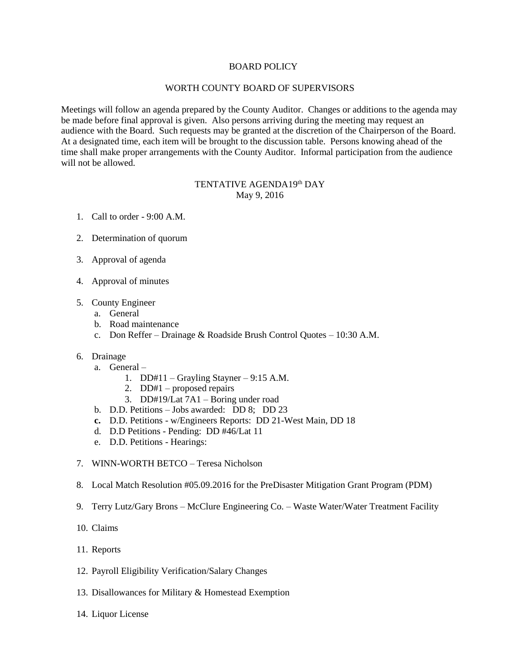#### BOARD POLICY

#### WORTH COUNTY BOARD OF SUPERVISORS

Meetings will follow an agenda prepared by the County Auditor. Changes or additions to the agenda may be made before final approval is given. Also persons arriving during the meeting may request an audience with the Board. Such requests may be granted at the discretion of the Chairperson of the Board. At a designated time, each item will be brought to the discussion table. Persons knowing ahead of the time shall make proper arrangements with the County Auditor. Informal participation from the audience will not be allowed.

# TENTATIVE AGENDA19<sup>th</sup> DAY May 9, 2016

- 1. Call to order 9:00 A.M.
- 2. Determination of quorum
- 3. Approval of agenda
- 4. Approval of minutes
- 5. County Engineer
	- a. General
	- b. Road maintenance
	- c. Don Reffer Drainage & Roadside Brush Control Quotes 10:30 A.M.
- 6. Drainage
	- a. General
		- 1. DD#11 Grayling Stayner 9:15 A.M.
		- 2. DD#1 proposed repairs
		- 3. DD#19/Lat 7A1 Boring under road
	- b. D.D. Petitions Jobs awarded: DD 8; DD 23
	- **c.** D.D. Petitions w/Engineers Reports: DD 21-West Main, DD 18
	- d. D.D Petitions Pending: DD #46/Lat 11
	- e. D.D. Petitions Hearings:
- 7. WINN-WORTH BETCO Teresa Nicholson
- 8. Local Match Resolution #05.09.2016 for the PreDisaster Mitigation Grant Program (PDM)
- 9. Terry Lutz/Gary Brons McClure Engineering Co. Waste Water/Water Treatment Facility
- 10. Claims
- 11. Reports
- 12. Payroll Eligibility Verification/Salary Changes
- 13. Disallowances for Military & Homestead Exemption
- 14. Liquor License